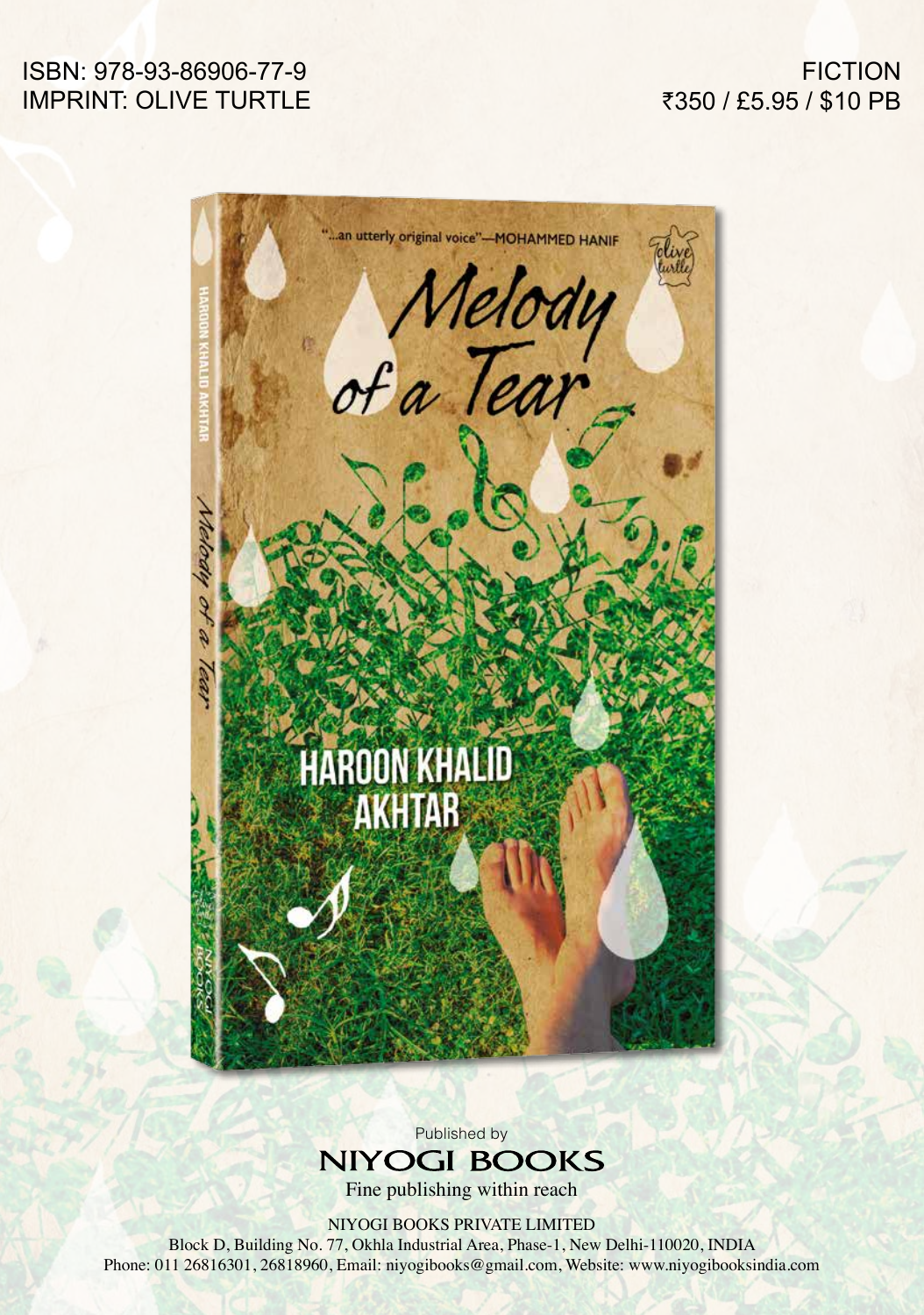## ISBN: 978-93-86906-77-9 IMPRINT: OLIVE TURTLE

## **FICTION** ₹350 / £5.95 / \$10 PB



Published by **NIYOGI BOOKS** 

Fine publishing within reach

NIYOGI BOOKS PRIVATE LIMITED

Block D, Building No. 77, Okhla Industrial Area, Phase-1, New Delhi-110020, INDIA Phone: 011 26816301, 26818960, Email: niyogibooks@gmail.com, Website: www.niyogibooksindia.com